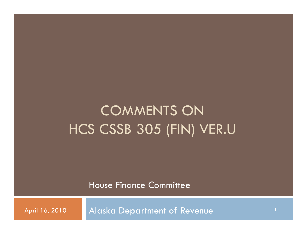# COMMENTS ON HCS CSSB 305 (FIN) VER.U

House Finance Committee

April 16, 2010 Alaska Department of Revenue **<sup>1</sup>**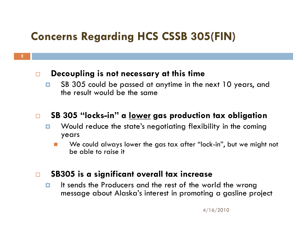## **Concerns Regarding HCS CSSB 305(FIN)**

#### $\Box$ **Decoupling is not necessary at this time**

**2**

п SB 305 could be passed at anytime in the next 10 years, and the result would be the same

#### $\Box$ **SB 305 "locks-in" a lower gas production tax obligation**

- $\Box$  Would reduce the state's negotiating flexibility in the coming years
	- F. We could always lower the gas tax after "lock-in", but we might not be able to raise it

#### $\Box$ **SB305 is a significant overall tax increase**

 $\Box$  It sends the Producers and the rest of the world the wrong message about Alaska's interest in promoting a gasline project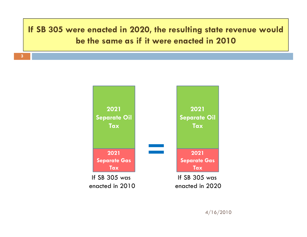### **If SB 305 were enacted in 2020, the resulting state revenue would be the same as if it were enacted in 2010**

**3**

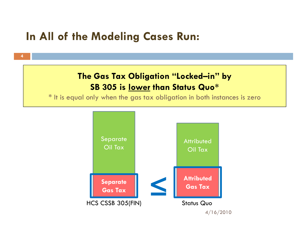### **In All of the Modeling Cases Run:**

**4**

### The Gas Tax Obligation "Locked—in" by **SB 305 is lower than Status Quo\***

\* It is equal only when the gas tax obligation in both instances is zero

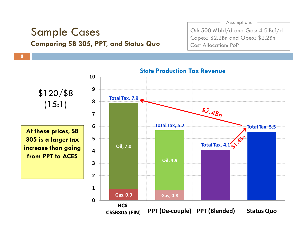# Sample Cases **Comparing SB 305 PPT and Status Quo 305, PPT, 5**

**5**

Assumptions

Oil: 500 Mbbl/d and Gas: 4.5 Bcf/d Capex: \$2.2Bn and Opex: \$2.2Bn Cost Allocation: PoP

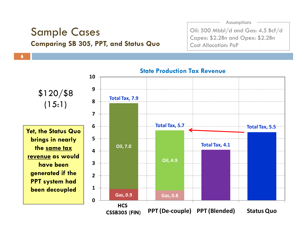# Sample Cases **Comparing SB 305 PPT and Status Quo 305, PPT, 6**

**6**

Assumptions

Oil: 500 Mbbl/d and Gas: 4.5 Bcf/d Capex: \$2.2Bn and Opex: \$2.2Bn Cost Allocation: PoP

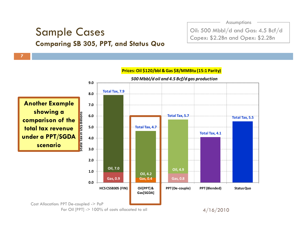### Sample Cases **Comparing SB 305 PPT and Status Quo 305, PPT,**

**7**

Assumptions

Oil: 500 Mbbl/d and Gas: 4.5 Bcf/d Capex: \$2.2Bn and Opex: \$2.2Bn

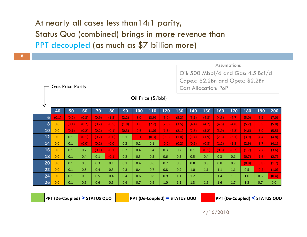# At nearly all cases less than14:1 parity, Status Quo (combined) brings in **more** revenue than

**8**

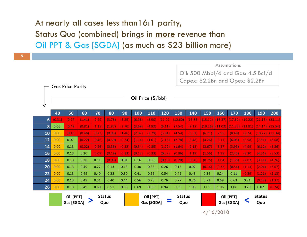# At nearly all cases less than16:1 parity, Status Quo (combined) brings in **more** revenue than

**9**

|                | Oil PPT & Gas [SGDA] (as much as \$23 billion more)                                                              |        |        |        |        |        |        |                         |         |                      |         |        |        |                                                   |        |                                                             |         |
|----------------|------------------------------------------------------------------------------------------------------------------|--------|--------|--------|--------|--------|--------|-------------------------|---------|----------------------|---------|--------|--------|---------------------------------------------------|--------|-------------------------------------------------------------|---------|
|                |                                                                                                                  |        |        |        |        |        |        |                         |         |                      |         |        |        |                                                   |        |                                                             |         |
|                | Assumptions<br>Oil: 500 Mbbl/d and Gas: 4.5 Bcf/d<br>Capex: \$2.2Bn and Opex: \$2.2Bn<br><b>Gas Price Parity</b> |        |        |        |        |        |        |                         |         |                      |         |        |        |                                                   |        |                                                             |         |
| ₩              | Oil Price (\$/bbl)                                                                                               |        |        |        |        |        |        |                         |         |                      |         |        |        |                                                   |        |                                                             |         |
|                | 40                                                                                                               | 50     | 60     | 70     | 80     | 90     | 100    | 110                     | 120     | 130                  | 140     | 150    | 160    | 170                                               | 180    | 190                                                         | 200     |
| 6 <sup>1</sup> | (0.31)                                                                                                           | (0.97) | (1.41) | (2.49) | (3.78) | (5.25) | (6.96) | (8.90)                  | (11.09) | (12.60)              | (13.85) |        |        | $(15.11)$ $(16.37)$ $(17.62)$ $(19.22)$ $(21.13)$ |        |                                                             | (23.11) |
| 8              | 0.06                                                                                                             | (0.48) | (0.81) | (1.15) | (1.87) | (2.70) | (3.69) | (4.82)                  | (6.11)  | (7.54)               | (9.13)  |        |        |                                                   |        | $(10.26)$ $(11.02)$ $(11.75)$ $(12.81)$ $(14.14)$ $(15.54)$ |         |
| 10             | 0.00                                                                                                             | (0.18) | (0.46) | (0.73) | (0.95) | (1.46) | (2.07) | (2.79)                  | (3.61)  | (4.54)               | (5.57)  | (6.71) | (7.95) | (8.48)                                            | (9.24) | (10.27) (11.34)                                             |         |
| 12             | 0.00                                                                                                             | 0.07   | (0.22) | (0.46) | (0.59) | (0.74) | (1.14) | (1.61)                  | (2.16)  | (2.78)               | (3.48)  | (4.26) | (5.11) | (6.05)                                            | (6.98) | (7.81)                                                      | (8.68)  |
| 14             | 0.00                                                                                                             | 0.13   | (0.02) | (0.26) | (0.36) | (0.32) | (0.54) | (0.85)                  | (1.22)  | (1.64)               | (2.13)  | (2.67) | (3.27) | (3.93)                                            | (4.99) | (6.12)                                                      | (6.86)  |
| 16             | 0.00                                                                                                             | 0.13   | 0.20   | (0.09) | (0.19) | (0.13) | (0.13) | (0.33)                  | (0.57)  | (0.86)               | (1.19)  | (1.56) | (1.98) | (2.45)                                            | (3.30) | (4.51)                                                      | (5.53)  |
| 18             | 0.00                                                                                                             | 0.13   | 0.38   | 0.11   | (0.05) | 0.01   | 0.16   | 0.05                    | (0.10)  | (0.28)               | (0.50)  | (0.75) | (1.04) | (1.36)                                            | (2.07) | (3.11)                                                      | (4.26)  |
| 20             | 0.00                                                                                                             | 0.13   | 0.49   | 0.27   | 0.13   | 0.13   | 0.30   | 0.33                    | 0.26    | 0.15                 | 0.02    | (0.14) | (0.32) | (0.54)                                            | (1.13) | (2.04)                                                      | (3.07)  |
| 22             | 0.00                                                                                                             | 0.13   | 0.49   | 0.40   | 0.28   | 0.30   | 0.41   | 0.56                    | 0.54    | 0.49                 | 0.43    | 0.34   | 0.24   | 0.11                                              | (0.39) | (1.21)                                                      | (2.13)  |
| 24             | 0.00                                                                                                             | 0.13   | 0.49   | 0.51   | 0.40   | 0.44   | 0.56   | 0.73                    | 0.76    | 0.77                 | 0.76    | 0.73   | 0.69   | 0.63                                              | 0.21   | (0.53)                                                      | (1.37)  |
| 26             | 0.00                                                                                                             | 0.13   | 0.49   | 0.60   | 0.51   | 0.56   | 0.69   | 0.90                    | 0.94    | 0.99                 | 1.03    | 1.05   | 1.06   | 1.06                                              | 0.70   | 0.02                                                        | (0.74)  |
|                | Oil [PPT]<br><b>Status</b><br>Gas [SGDA]<br>Quo                                                                  |        |        |        |        |        |        | Oil [PPT]<br>Gas [SGDA] |         | <b>Status</b><br>Quo |         |        |        | Oil [PPT]<br>Gas [SGDA]                           |        | <b>Status</b><br>Quo                                        |         |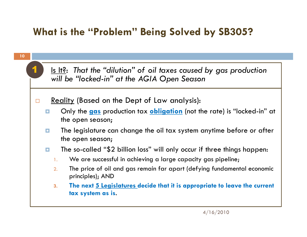### **What is the "Problem" Being Solved by SB305?**

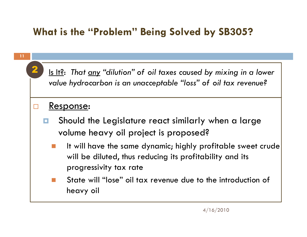### **What is the "Problem" Being Solved by SB305?**

**11**

2F

1 Is It?: That <u>any</u> "dilution" of oil taxes caused by mixing in a lower *value hydrocarbon is an unacceptable "loss" of oil tax revenue?*

#### □ Response:

- о Should the Legislature react similarly when a large volume heavy oil project is proposed?
	- It will have the same dynamic; highly profitable sweet crude will be diluted, thus reducing its profitability and its progressivity tax rate
	- State will "lose" oil tax revenue due to the introduction of heavy oil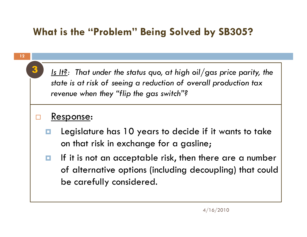### **What is the "Problem" Being Solved by SB305?**

**12**

3

 *Is It?: That under the status quo at high oil/gas price parity the : quo, parity, state is at risk of seeing a reduction of overall production tax revenue when they "flip the gas switch"?*

#### $\Box$ Response:

- O. Legislature has 10 years to decide if it wants to take on that risk in exchange for a gasline;
- o. If it is not an acceptable risk, then there are a number of alternative options (including decoupling) that could be carefully considered.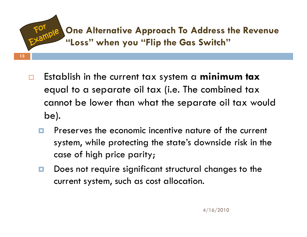### **One Alternative Approach To Address the Revenue "Loss when you Flip the Gas Switch " "Flip "**

 $\Box$  $\Box$  Establish in the current tax system a **minimum tax** equal to a separate oil tax (i.e. The combined tax cannot be lower than what the separate oil tax would be).

- $\Box$  Preserves the economic incentive nature of the current system, while protecting the state's downside risk in the case of high price parity;
- O. Does not require significant structural changes to the current system, such as cost allocation.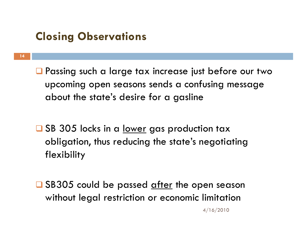### **Closing Observations**

**14**

**Q** Passing such a large tax increase just before our two upcoming open seasons sends a confusing message about the state's desire for a gasline

□ SB 305 locks in a <u>lower</u> gas production tax obligation, thus reducing the state's negotiating flexibility

□ SB305 could be passed <u>after</u> the open season without legal restriction or economic limitation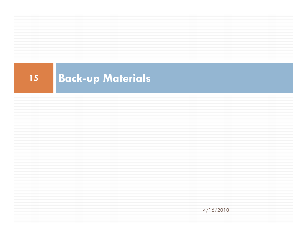#### **15Back-up Materials**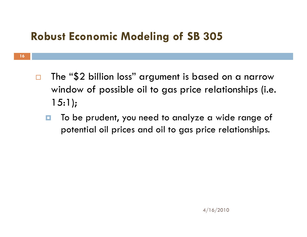## **Robust Economic Modeling of SB 305**

- $\Box$  $\Box$  The "\$2 billion loss" argument is based on a narrow window of possible oil to gas price relationships (i.e. 15:1);
	- . To be prudent, you need to analyze a wide range of potential oil prices and oil to gas price relationships.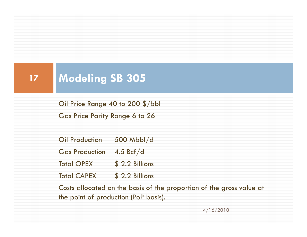#### **17Modeling SB 305**

Oil Price Range 40 to 200 \$/bbl Gas Price Parity Range 6 to 26

Oil Production 500 Mbbl/d

Gas Production 4.5 Bcf/d

Total OPEX \$ 2.2 Billions

Total CAPEX \$2.2 Billions

Costs allocated on the basis of the proportion of the gross value at the point of production (PoP basis).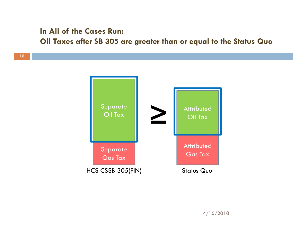#### **In All of the Cases Run:**

**Oil Taxes after SB 305 are greater than or equal to the Status Quo** 

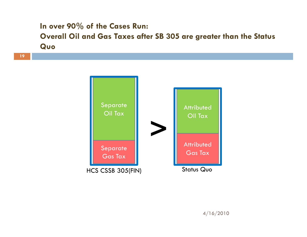### **In over 90% of the Cases Run: Overall Oil and Gas Taxes after SB 305 are greater than the Status Q uo**

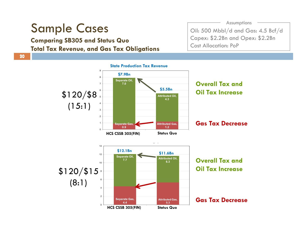# Sample Cases

**Comparing SB305 and Status Quo p g Total Tax Revenue, and Gas Tax Obligations** Assumptions

Oil: 500 Mbbl/d and Gas: 4.5 Bcf/d Capex: \$2.2Bn and Opex: \$2.2Bn Cost Allocation: PoP

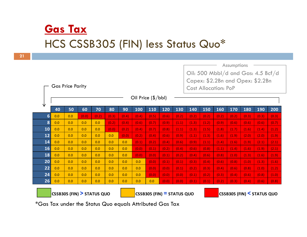## **Gas Tax** HCS CSSB305 (FIN) less Status Quo\*

**21**

Assumptions Oil: 500 Mbbl/d and Gas: 4.5 Bcf/d 4.5 Capex: \$2.2Bn and Opex: \$2.2Bn Gas Price Parity Cost Allocation: PoPOil Price (\$/bbl) 业 40 50 60 70 80 90 100 110 120 130 140 150 160 170 180 190 200 **6** 0.0 0.0 (0.0) (0.2) (0.3) (0.4) (0.4) (0.5) (0.6) (0.2) (0.2) (0.2) (0.2) (0.2) (0.3) (0.3) (0.3) **8** 0.0 0.0 0.0 0.0 (0.2) (0.4) (0.6) (0.7) (0.9) (1.1) (1.3) (1.2) (0.9) (0.6) (0.6) (0.6) (0.7) **10** 0.0 0.0 0.0 0.0 (0.0) (0.2) (0.4) (0.7) (0.8) (1.1) (1.3) (1.5) (1.8) (1.7) (1.6) (1.4) (1.2) **12** 0.0 0.0 0.0 0.0 0.0 (0.0) (0.2) (0.4) (0.6) (0.9) (1.1) (1.3) (1.6) (1.9) (2.0) (2.0) (1.9) **14** $\bf{4}$   $\bf{0.0}$   $\bf{0.0}$   $\bf{0.0}$   $\bf{0.0}$   $\bf{0.0}$   $\bf{0.0}$   $\bf{0.0}$   $\bf{0.1}$   $\bf{0.2}$   $\bf{0.3}$   $\bf{0.4}$   $\bf{0.6}$   $\bf{0.6}$   $\bf{0.9}$   $\bf{0.9}$   $\bf{0.1}$   $\bf{1.1}$   $\bf{1.4}$   $\bf{1.4}$   $\bf{1.6}$   $\bf{1.6}$   $\bf{$ **16** 0.0 0.0 0.0 0.0 0.0 0.0 (0.0) (0.1) (0.2) (0.4) (0.6) (0.8) (1.1) (1.4) (1.6) (1.9) (2.1) **18** 0.0 0.0 0.0 0.0 0.0 0.0 (0.0) (0.0) (0.1) (0.2) (0.4) (0.6) (0.8) (1.0) (1.3) (1.6) (1.9) **20** 0.0 0.0 0.0 0.0 0.0 0.0 0.0 ( ) 0.0 ( ) 0.1 ( ) 0.1 ( ) 0.3 ( ) 0.4 ( ) 0.6 ( ) 0.8 ( ) 1.0 ( ) 1.3 ( ) 1.6 **22** 0.0 0.0 0.0 0.0 0.0 0.0 0.0 (0.0) (0.0) (0.1) (0.2) (0.3) (0.4) (0.6) (0.8) (1.0) (1.2) **24** $\bf{4}$  0.0  $\bf{1}$  0.0  $\bf{1}$  0.0  $\bf{1}$  0.0  $\bf{1}$  0.0  $\bf{1}$  0.0  $\bf{1}$  (0.0)  $\bf{1}$  (0.0)  $\bf{1}$  (0.1)  $\bf{1}$  (0.2)  $\bf{1}$  (0.4)  $\bf{1}$  (0.6)  $\bf{1}$  (0.8)  $\bf{1}$  (1.0) **26** 0.0 0.0 0.0 0.0 0.0 0.0 0.0 0.0 (0.0) (0.0) (0.1) (0.1) (0.2) (0.3) (0.4) (0.6) (0.8) **CSSB305** (FIN) > STATUS QUO **(FIN) > STATUS QUO <sup>0</sup> <sup>0</sup> CSSB305 (FIN) <sup>=</sup> STATUS QUO CSSB305 (FIN) < STATUS QUO**

\*Gas Tax under the Status Quo equals Attributed Gas Tax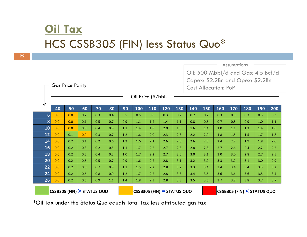## **Oil Tax** HCS CSSB305 (FIN) less Status Quo\*

**22**

|                                      |     |     |     |     |     |     | Assumptions                        |                              |     |     |     |                             |     |                                  |     |     |     |  |  |  |  |  |
|--------------------------------------|-----|-----|-----|-----|-----|-----|------------------------------------|------------------------------|-----|-----|-----|-----------------------------|-----|----------------------------------|-----|-----|-----|--|--|--|--|--|
|                                      |     |     |     |     |     |     | Oil: 500 Mbbl/d and Gas: 4.5 Bcf/d |                              |     |     |     |                             |     |                                  |     |     |     |  |  |  |  |  |
|                                      |     |     |     |     |     |     |                                    |                              |     |     |     |                             |     | Capex: \$2.2Bn and Opex: \$2.2Bn |     |     |     |  |  |  |  |  |
| <b>Gas Price Parity</b>              |     |     |     |     |     |     |                                    |                              |     |     |     | <b>Cost Allocation: PoP</b> |     |                                  |     |     |     |  |  |  |  |  |
| Oil Price $(\frac{5}{bb}I)$          |     |     |     |     |     |     |                                    |                              |     |     |     |                             |     |                                  |     |     |     |  |  |  |  |  |
| V                                    |     |     |     |     |     |     |                                    |                              |     |     |     |                             |     |                                  |     |     |     |  |  |  |  |  |
|                                      | 40  | 50  | 60  | 70  | 80  | 90  | 100                                | 110                          | 120 | 130 | 140 | 150                         | 160 | 170                              | 180 | 190 | 200 |  |  |  |  |  |
| $6\phantom{1}$                       | 0.0 | 0.0 | 0.2 | 0.3 | 0.4 | 0.5 | 0.5                                | 0.6                          | 0.3 | 0.2 | 0.2 | 0.2                         | 0.3 | 0.3                              | 0.3 | 0.3 | 0.3 |  |  |  |  |  |
| 8                                    | 0.0 | 0.0 | 0.1 | 0.5 | 0.7 | 0.9 | 1.1                                | 1.4                          | 1.4 | 1.1 | 0.8 | 0.6                         | 0.7 | 0.8                              | 0.9 | 1.0 | 1.1 |  |  |  |  |  |
| 10                                   | 0.0 | 0.0 | 0.0 | 0.4 | 0.8 | 1.1 | 1.4                                | 1.8                          | 2.0 | 1.8 | 1.6 | 1.4                         | 1.0 | 1.1                              | 1.3 | 1.4 | 1.6 |  |  |  |  |  |
| 12                                   | 0.0 | 0.1 | 0.0 | 0.3 | 0.7 | 1.2 | 1.6                                | 2.0                          | 2.3 | 2.3 | 2.2 | 2.0                         | 1.8 | 1.5                              | 1.5 | 1.7 | 1.8 |  |  |  |  |  |
| 14                                   | 0.0 | 0.2 | 0.1 | 0.2 | 0.6 | 1.2 | 1.6                                | 2.1                          | 2.6 | 2.6 | 2.6 | 2.5                         | 2.4 | 2.2                              | 1.9 | 1.8 | 2.0 |  |  |  |  |  |
| 16                                   | 0.0 | 0.2 | 0.3 | 0.2 | 0.5 | 1.1 | 1.7                                | 2.2                          | 2.7 | 2.8 | 2.8 | 2.8                         | 2.7 | 2.6                              | 2.4 | 2.2 | 2.2 |  |  |  |  |  |
| 18                                   | 0.0 | 0.2 | 0.5 | 0.4 | 0.5 | 1.0 | 1.7                                | 2.2                          | 2.7 | 3.0 | 3.0 | 3.1                         | 3.0 | 3.0                              | 2.8 | 2.7 | 2.5 |  |  |  |  |  |
| 20                                   | 0.0 | 0.2 | 0.6 | 0.5 | 0.7 | 0.9 | 1.6                                | 2.2                          | 2.8 | 3.1 | 3.2 | 3.2                         | 3.3 | 3.2                              | 3.1 | 3.0 | 2.9 |  |  |  |  |  |
| 22                                   | 0.0 | 0.2 | 0.6 | 0.7 | 0.8 | 1.1 | 1.5                                | 2.2                          | 2.8 | 3.2 | 3.3 | 3.4                         | 3.4 | 3.4                              | 3.4 | 3.3 | 3.2 |  |  |  |  |  |
| 24                                   | 0.0 | 0.2 | 0.6 | 0.8 | 0.9 | 1.2 | 1.7                                | 2.2                          | 2.8 | 3.3 | 3.4 | 3.5                         | 3.6 | 3.6                              | 3.6 | 3.5 | 3.4 |  |  |  |  |  |
| 26                                   | 0.0 | 0.2 | 0.6 | 0.9 | 1.1 | 1.4 | 1.8                                | 2.3                          | 2.8 | 3.3 | 3.5 | 3.6                         | 3.7 | 3.8                              | 3.8 | 3.7 | 3.7 |  |  |  |  |  |
| <b>CSSB305 (FIN) &gt; STATUS QUO</b> |     |     |     |     |     |     |                                    | $CSSB305$ (FIN) = STATUS QUO |     |     |     | CSSB305 (FIN) < STATUS QUO  |     |                                  |     |     |     |  |  |  |  |  |

\*Oil Tax under the Status Quo equals Total Tax less attributed gas tax